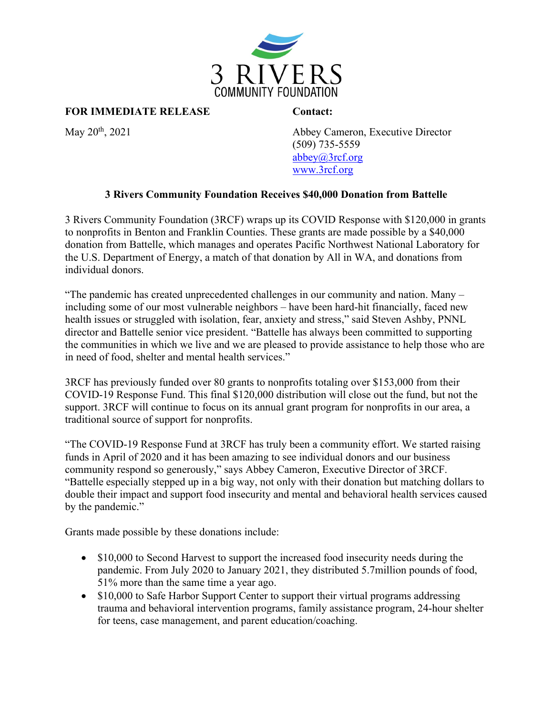

## **FOR IMMEDIATE RELEASE Contact:**

May 20<sup>th</sup>, 2021 Abbey Cameron, Executive Director (509) 735-5559 [abbey@3rcf.org](mailto:abbey@3rcf.org) [www.3rcf.org](http://www.3rcf.org/)

## **3 Rivers Community Foundation Receives \$40,000 Donation from Battelle**

3 Rivers Community Foundation (3RCF) wraps up its COVID Response with \$120,000 in grants to nonprofits in Benton and Franklin Counties. These grants are made possible by a \$40,000 donation from Battelle, which manages and operates Pacific Northwest National Laboratory for the U.S. Department of Energy, a match of that donation by All in WA, and donations from individual donors.

"The pandemic has created unprecedented challenges in our community and nation. Many – including some of our most vulnerable neighbors – have been hard-hit financially, faced new health issues or struggled with isolation, fear, anxiety and stress," said Steven Ashby, PNNL director and Battelle senior vice president. "Battelle has always been committed to supporting the communities in which we live and we are pleased to provide assistance to help those who are in need of food, shelter and mental health services."

3RCF has previously funded over 80 grants to nonprofits totaling over \$153,000 from their COVID-19 Response Fund. This final \$120,000 distribution will close out the fund, but not the support. 3RCF will continue to focus on its annual grant program for nonprofits in our area, a traditional source of support for nonprofits.

"The COVID-19 Response Fund at 3RCF has truly been a community effort. We started raising funds in April of 2020 and it has been amazing to see individual donors and our business community respond so generously," says Abbey Cameron, Executive Director of 3RCF. "Battelle especially stepped up in a big way, not only with their donation but matching dollars to double their impact and support food insecurity and mental and behavioral health services caused by the pandemic."

Grants made possible by these donations include:

- \$10,000 to Second Harvest to support the increased food insecurity needs during the pandemic. From July 2020 to January 2021, they distributed 5.7million pounds of food, 51% more than the same time a year ago.
- \$10,000 to Safe Harbor Support Center to support their virtual programs addressing trauma and behavioral intervention programs, family assistance program, 24-hour shelter for teens, case management, and parent education/coaching.